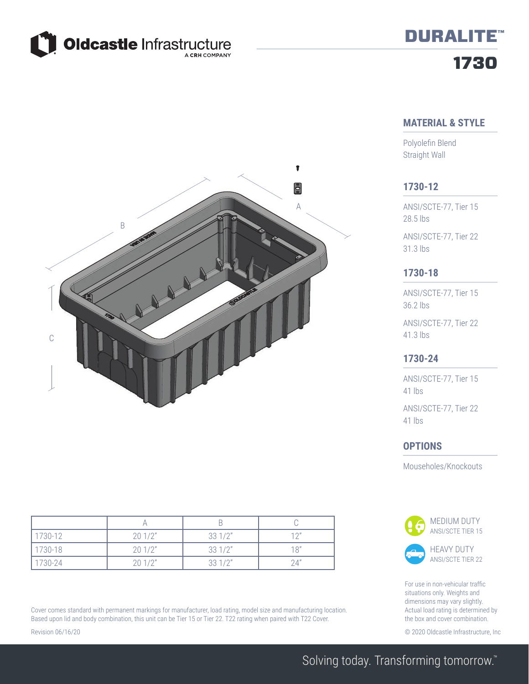

# 1730 DURALITE™

# **MATERIAL & STYLE**

Polyolefin Blend Straight Wall



ANSI/SCTE-77, Tier 15 28.5 lbs

ANSI/SCTE-77, Tier 22 31.3 lbs

### **1730-18**

ANSI/SCTE-77, Tier 15 36.2 lbs

ANSI/SCTE-77, Tier 22 41.3 lbs

#### **1730-24**

ANSI/SCTE-77, Tier 15 41 lbs

ANSI/SCTE-77, Tier 22 41 lbs

#### **OPTIONS**

Mouseholes/Knockouts



For use in non-vehicular traffic situations only. Weights and dimensions may vary slightly. Actual load rating is determined by the box and cover combination.

Revision 06/16/20 © 2020 Oldcastle Infrastructure, Inc



| 1730-12 | 201/2" | 331/2" | 12" |
|---------|--------|--------|-----|
| 1730-18 | 201/2" | 331/2" | 18" |
| 1730-24 | 201/2" | 331/2" | 24" |

Cover comes standard with permanent markings for manufacturer, load rating, model size and manufacturing location. Based upon lid and body combination, this unit can be Tier 15 or Tier 22. T22 rating when paired with T22 Cover.

Solving today. Transforming tomorrow.™